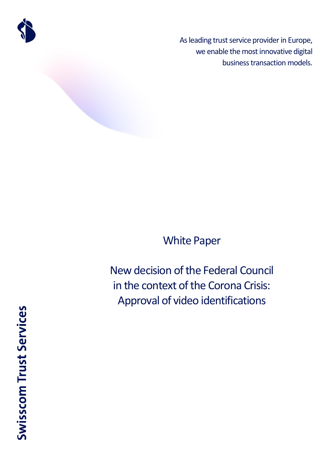

As leading trust service provider in Europe, we enable the most innovative digital business transaction models.

# White Paper

New decision of the Federal Council in the context of the Corona Crisis: Approval of video identifications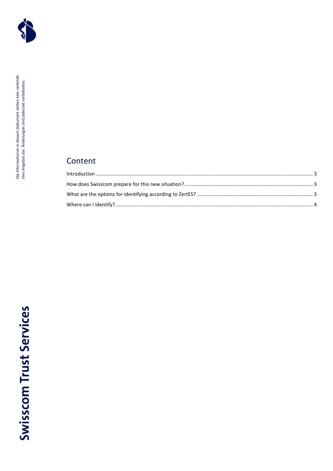

## Content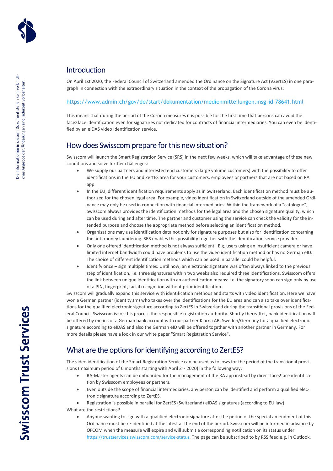

## <span id="page-2-0"></span>Introduction

On April 1st 2020, the Federal Council of Switzerland amended the Ordinance on the Signature Act (VZertES) in one paragraph in connection with the extraordinary situation in the context of the propagation of the Corona virus:

#### <https://www.admin.ch/gov/de/start/dokumentation/medienmitteilungen.msg-id-78641.html>

This means that during the period of the Corona measures it is possible for the first time that persons can avoid the face2face identification even for signatures not dedicated for contracts of financial intermediaries. You can even be identified by an eIDAS video identification service.

### <span id="page-2-1"></span>How does Swisscom prepare for this new situation?

Swisscom will launch the Smart Registration Service (SRS) in the next few weeks, which will take advantage of these new conditions and solve further challenges:

- We supply our partners and interested end customers (large volume customers) with the possibility to offer identifications in the EU and ZertES area for your customers, employees or partners that are not based on RA app.
- In the EU, different identification requirements apply as in Switzerland. Each identification method must be authorized for the chosen legal area. For example, video identification in Switzerland outside of the amended Ordinance may only be used in connection with financial intermediaries. Within the framework of a "catalogue", Swisscom always provides the identification methods for the legal area and the chosen signature quality, which can be used during and after time. The partner and customer using the service can check the validity for the intended purpose and choose the appropriate method before selecting an identification method.
- Organisations may use identification data not only for signature purposes but also for identification concerning the anti-money laundering. SRS enables this possibility together with the identification service provider.
- Only one offered identification method is not always sufficient. E.g. users using an insufficient camera or have limited internet bandwidth could have problems to use the video identification method or has no German eID. The choice of different identification methods which can be used in parallel could be helpful.
- Identify once sign multiple times: Until now, an electronic signature was often always linked to the previous step of identification, i.e. three signatures within two weeks also required three identifications. Swisscom offers the link between unique identification with an authentication means: i.e. the signatory soon can sign only by use of a PIN, fingerprint, facial recognition without prior identification.

Swisscom will gradually expand this service with identification methods and starts with video identification. Here we have won a German partner (identity.tm) who takes over the identifications for the EU area and can also take over identifications for the qualified electronic signature according to ZertES in Switzerland during the transitional provisions of the Federal Council. Swisscom is for this process the responsible registration authority. Shortly thereafter, bank identification will be offered by means of a German bank account with our partner Klarna AB, Sweden/Germany for a qualified electronic signature according to eIDAS and also the German eID will be offered together with another partner in Germany. For more details please have a look in our white paper "Smart Registration Service".

## <span id="page-2-2"></span>What are the options for identifying according to ZertES?

The video identification of the Smart Registration Service can be used as follows for the period of the transitional provisions (maximum period of 6 months starting with April  $2<sup>nd</sup>$  2020) in the following way:

- RA-Master agents can be onboarded for the management of the RA app instead by direct face2face identification by Swisscom employees or partners.
- Even outside the scope of financial intermediaries, any person can be identified and perform a qualified electronic signature according to ZertES.

• Registration is possible in parallel for ZertES (Switzerland) eIDAS signatures (according to EU law).

What are the restrictions?

• Anyone wanting to sign with a qualified electronic signature after the period of the special amendment of this Ordinance must be re-identified at the latest at the end of the period. Swisscom will be informed in advance by OFCOM when the measure will expire and will submit a corresponding notification on its status under [https://trustservices.swisscom.com/service-status.](https://trustservices.swisscom.com/service-status) The page can be subscribed to by RSS feed e.g. in Outlook.